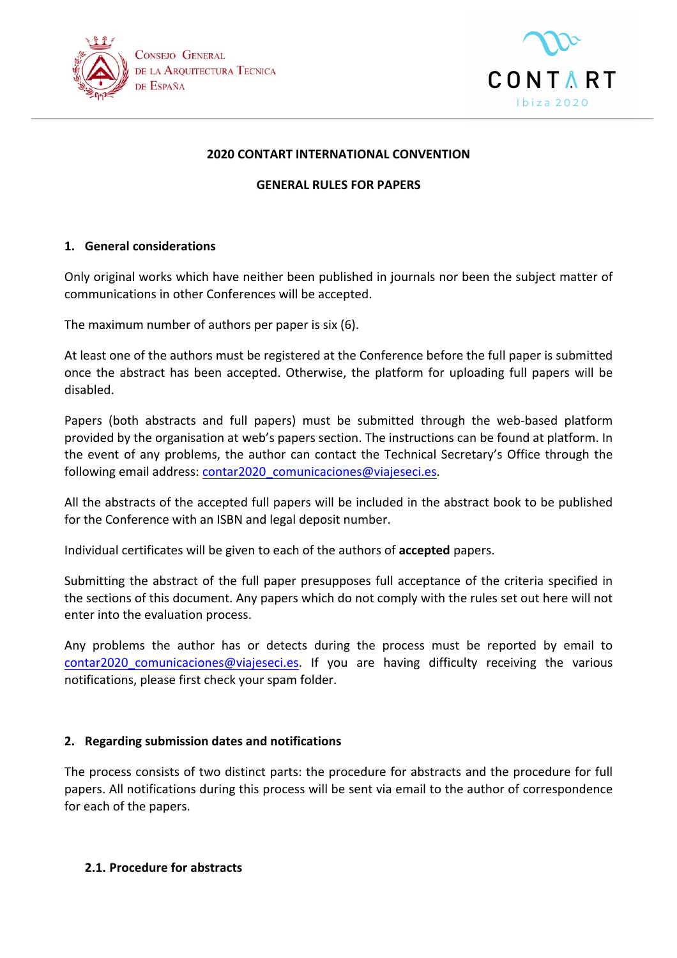



#### **2020 CONTART INTERNATIONAL CONVENTION**

#### **GENERAL RULES FOR PAPERS**

# **1. General considerations**

Only original works which have neither been published in journals nor been the subject matter of communications in other Conferences will be accepted.

The maximum number of authors per paper is six (6).

At least one of the authors must be registered at the Conference before the full paper is submitted once the abstract has been accepted. Otherwise, the platform for uploading full papers will be disabled. 

Papers (both abstracts and full papers) must be submitted through the web-based platform provided by the organisation at web's papers section. The instructions can be found at platform. In the event of any problems, the author can contact the Technical Secretary's Office through the following email address:  $contr2020$  comunicaciones@viajeseci.es.

All the abstracts of the accepted full papers will be included in the abstract book to be published for the Conference with an ISBN and legal deposit number.

Individual certificates will be given to each of the authors of **accepted** papers.

Submitting the abstract of the full paper presupposes full acceptance of the criteria specified in the sections of this document. Any papers which do not comply with the rules set out here will not enter into the evaluation process.

Any problems the author has or detects during the process must be reported by email to contar2020\_comunicaciones@viajeseci.es. If you are having difficulty receiving the various notifications, please first check your spam folder.

#### **2. Regarding submission dates and notifications**

The process consists of two distinct parts: the procedure for abstracts and the procedure for full papers. All notifications during this process will be sent via email to the author of correspondence for each of the papers.

#### 2.1. **Procedure** for abstracts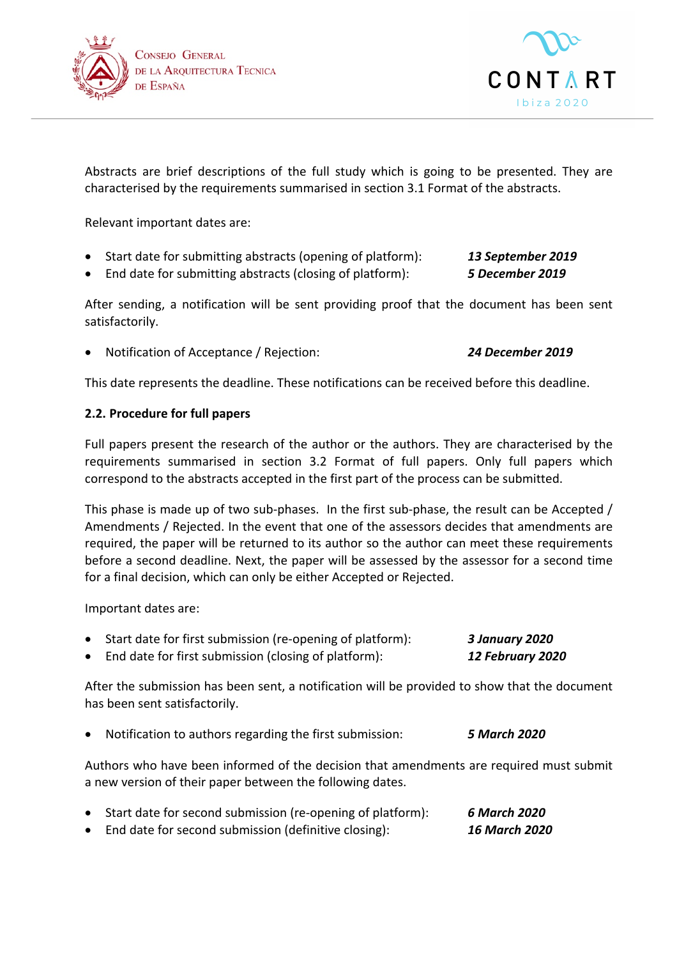



Abstracts are brief descriptions of the full study which is going to be presented. They are characterised by the requirements summarised in section 3.1 Format of the abstracts.

Relevant important dates are:

- Start date for submitting abstracts (opening of platform): **13 September 2019**
- End date for submitting abstracts (closing of platform): **5 December 2019**

After sending, a notification will be sent providing proof that the document has been sent satisfactorily. 

• Notification of Acceptance / Rejection: *24 December 2019*

This date represents the deadline. These notifications can be received before this deadline.

# **2.2. Procedure for full papers**

Full papers present the research of the author or the authors. They are characterised by the requirements summarised in section 3.2 Format of full papers. Only full papers which correspond to the abstracts accepted in the first part of the process can be submitted.

This phase is made up of two sub-phases. In the first sub-phase, the result can be Accepted / Amendments / Rejected. In the event that one of the assessors decides that amendments are required, the paper will be returned to its author so the author can meet these requirements before a second deadline. Next, the paper will be assessed by the assessor for a second time for a final decision, which can only be either Accepted or Rejected.

Important dates are:

• Start date for first submission (re-opening of platform): **3 January 2020** • End date for first submission (closing of platform): **12 February 2020** 

After the submission has been sent, a notification will be provided to show that the document has been sent satisfactorily.

**Notification to authors regarding the first submission: 5 March 2020** 

Authors who have been informed of the decision that amendments are required must submit a new version of their paper between the following dates.

• Start date for second submission (re-opening of platform): **6 March 2020** • End date for second submission (definitive closing): **16 March 2020**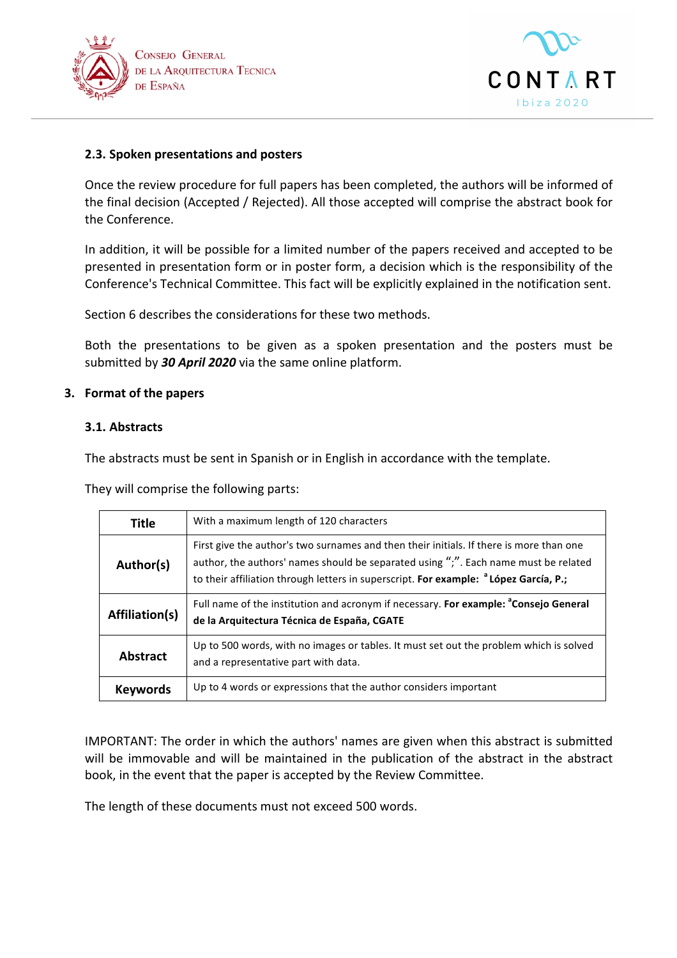



# **2.3. Spoken presentations and posters**

Once the review procedure for full papers has been completed, the authors will be informed of the final decision (Accepted / Rejected). All those accepted will comprise the abstract book for the Conference.

In addition, it will be possible for a limited number of the papers received and accepted to be presented in presentation form or in poster form, a decision which is the responsibility of the Conference's Technical Committee. This fact will be explicitly explained in the notification sent.

Section 6 describes the considerations for these two methods.

Both the presentations to be given as a spoken presentation and the posters must be submitted by 30 April 2020 via the same online platform.

# **3.** Format of the papers

# **3.1. Abstracts**

The abstracts must be sent in Spanish or in English in accordance with the template.

They will comprise the following parts:

| <b>Title</b>    | With a maximum length of 120 characters                                                                                                                                                                                                                                            |
|-----------------|------------------------------------------------------------------------------------------------------------------------------------------------------------------------------------------------------------------------------------------------------------------------------------|
| Author(s)       | First give the author's two surnames and then their initials. If there is more than one<br>author, the authors' names should be separated using ";". Each name must be related<br>to their affiliation through letters in superscript. For example: <sup>a</sup> López García, P.; |
| Affiliation(s)  | Full name of the institution and acronym if necessary. For example: <sup>a</sup> Consejo General<br>de la Arquitectura Técnica de España, CGATE                                                                                                                                    |
| Abstract        | Up to 500 words, with no images or tables. It must set out the problem which is solved<br>and a representative part with data.                                                                                                                                                     |
| <b>Keywords</b> | Up to 4 words or expressions that the author considers important                                                                                                                                                                                                                   |

IMPORTANT: The order in which the authors' names are given when this abstract is submitted will be immovable and will be maintained in the publication of the abstract in the abstract book, in the event that the paper is accepted by the Review Committee.

The length of these documents must not exceed 500 words.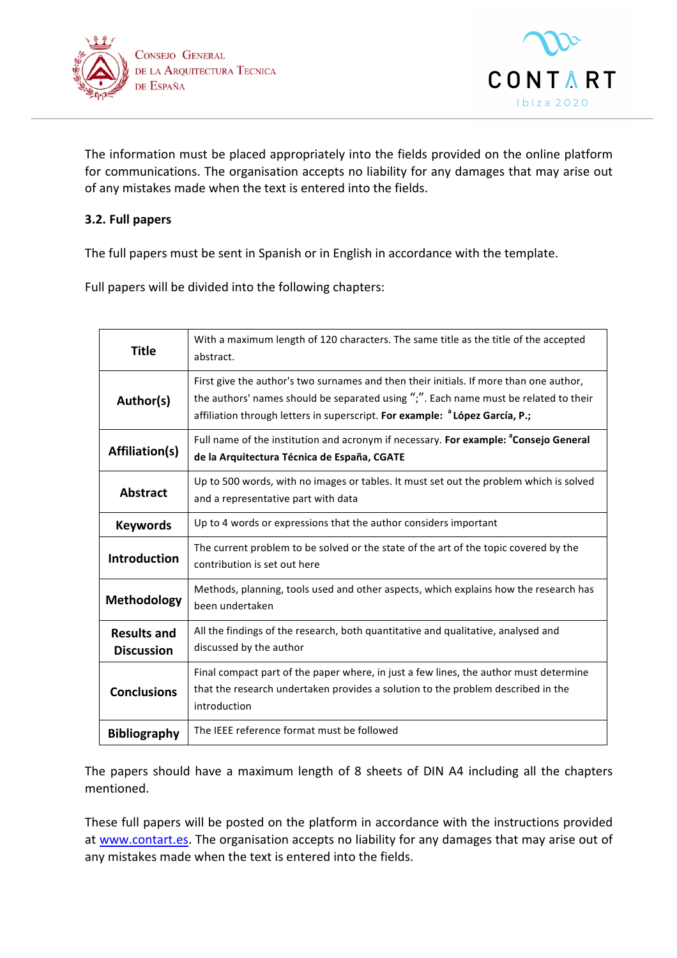



The information must be placed appropriately into the fields provided on the online platform for communications. The organisation accepts no liability for any damages that may arise out of any mistakes made when the text is entered into the fields.

# **3.2. Full papers**

The full papers must be sent in Spanish or in English in accordance with the template.

Full papers will be divided into the following chapters:

| <b>Title</b>                            | With a maximum length of 120 characters. The same title as the title of the accepted<br>abstract.                                                                                                                                                                         |
|-----------------------------------------|---------------------------------------------------------------------------------------------------------------------------------------------------------------------------------------------------------------------------------------------------------------------------|
| Author(s)                               | First give the author's two surnames and then their initials. If more than one author,<br>the authors' names should be separated using ";". Each name must be related to their<br>affiliation through letters in superscript. For example: <sup>a</sup> López García, P.; |
| <b>Affiliation(s)</b>                   | Full name of the institution and acronym if necessary. For example: <sup>a</sup> Consejo General<br>de la Arquitectura Técnica de España, CGATE                                                                                                                           |
| <b>Abstract</b>                         | Up to 500 words, with no images or tables. It must set out the problem which is solved<br>and a representative part with data                                                                                                                                             |
| <b>Keywords</b>                         | Up to 4 words or expressions that the author considers important                                                                                                                                                                                                          |
| <b>Introduction</b>                     | The current problem to be solved or the state of the art of the topic covered by the<br>contribution is set out here                                                                                                                                                      |
| Methodology                             | Methods, planning, tools used and other aspects, which explains how the research has<br>been undertaken                                                                                                                                                                   |
| <b>Results and</b><br><b>Discussion</b> | All the findings of the research, both quantitative and qualitative, analysed and<br>discussed by the author                                                                                                                                                              |
| <b>Conclusions</b>                      | Final compact part of the paper where, in just a few lines, the author must determine<br>that the research undertaken provides a solution to the problem described in the<br>introduction                                                                                 |
| <b>Bibliography</b>                     | The IEEE reference format must be followed                                                                                                                                                                                                                                |

The papers should have a maximum length of 8 sheets of DIN A4 including all the chapters mentioned. 

These full papers will be posted on the platform in accordance with the instructions provided at www.contart.es. The organisation accepts no liability for any damages that may arise out of any mistakes made when the text is entered into the fields.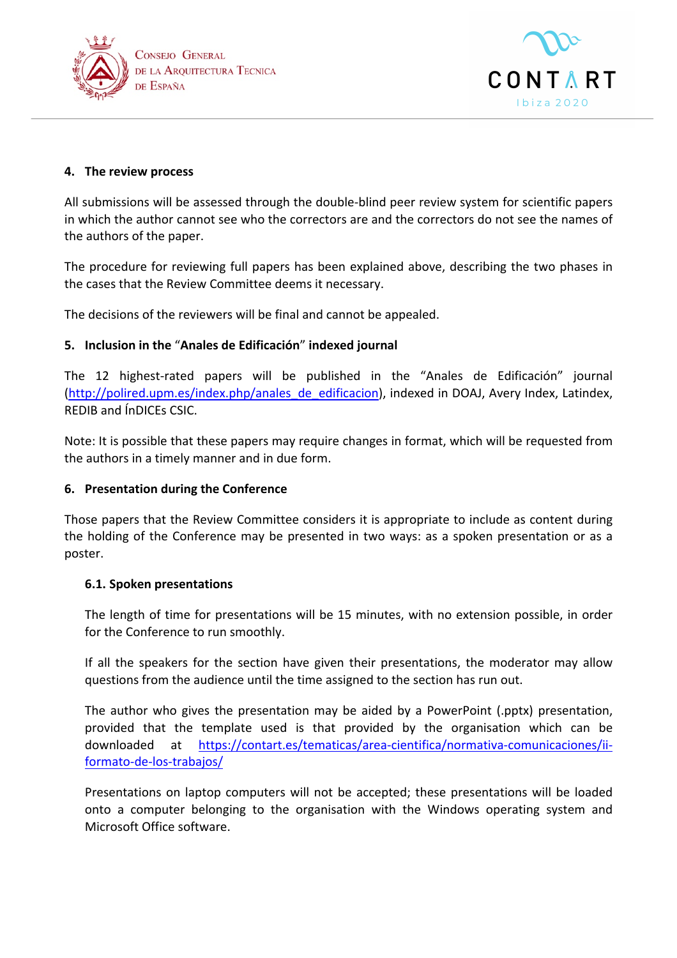



# **4.** The review process

All submissions will be assessed through the double-blind peer review system for scientific papers in which the author cannot see who the correctors are and the correctors do not see the names of the authors of the paper.

The procedure for reviewing full papers has been explained above, describing the two phases in the cases that the Review Committee deems it necessary.

The decisions of the reviewers will be final and cannot be appealed.

# **5. Inclusion in the** "**Anales de Edificación**" **indexed journal**

The 12 highest-rated papers will be published in the "Anales de Edificación" journal (http://polired.upm.es/index.php/anales\_de\_edificacion), indexed in DOAJ, Avery Index, Latindex, REDIB and ÍnDICEs CSIC.

Note: It is possible that these papers may require changes in format, which will be requested from the authors in a timely manner and in due form.

#### **6. Presentation during the Conference**

Those papers that the Review Committee considers it is appropriate to include as content during the holding of the Conference may be presented in two ways: as a spoken presentation or as a poster.

#### **6.1. Spoken presentations**

The length of time for presentations will be 15 minutes, with no extension possible, in order for the Conference to run smoothly.

If all the speakers for the section have given their presentations, the moderator may allow questions from the audience until the time assigned to the section has run out.

The author who gives the presentation may be aided by a PowerPoint (.pptx) presentation, provided that the template used is that provided by the organisation which can be downloaded at https://contart.es/tematicas/area-cientifica/normativa-comunicaciones/iiformato-de-los-trabajos/

Presentations on laptop computers will not be accepted; these presentations will be loaded onto a computer belonging to the organisation with the Windows operating system and Microsoft Office software.